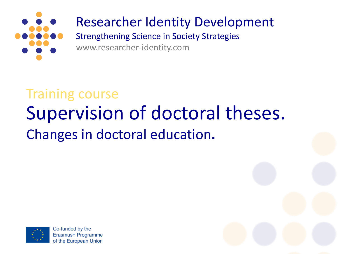

#### Researcher Identity Development

Strengthening Science in Society Strategies www.researcher-identity.com

### Supervision of doctoral theses. Changes in doctoral education**.** Training course



Co-funded by the Erasmus+ Programme of the European Union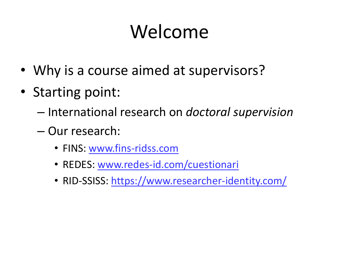## Welcome

- Why is a course aimed at supervisors?
- Starting point:
	- International research on *doctoral supervision*
	- Our research:
		- FINS: [www.fins-ridss.com](http://www.fins-ridss.com)
		- REDES: [www.redes-id.com/cuestionari](http://www.redes-id.com/cuestionari)
		- RID-SSISS:<https://www.researcher-identity.com/>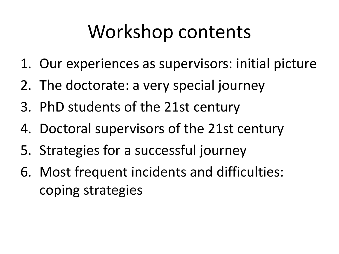### Workshop contents

- 1. Our experiences as supervisors: initial picture
- 2. The doctorate: a very special journey
- 3. PhD students of the 21st century
- 4. Doctoral supervisors of the 21st century
- 5. Strategies for a successful journey
- 6. Most frequent incidents and difficulties: coping strategies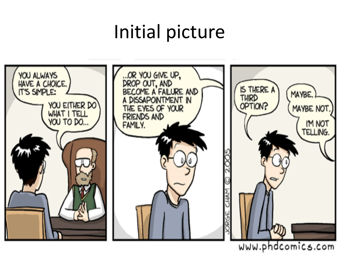## Initial picture



www.phdcomics.com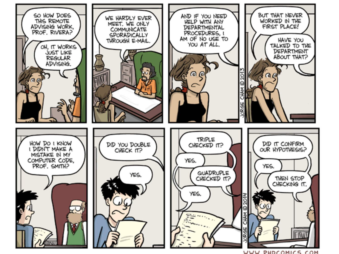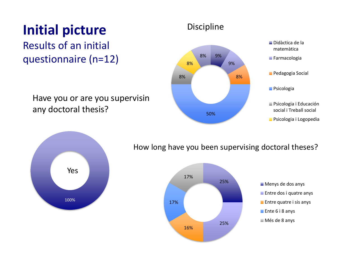### **Initial picture** Discipline

#### Results of an initial questionnaire (n=12)  $\frac{8\%}{100}$   $\frac{9\%}{100}$

Have you or are you supervisin any doctoral thesis?







#### How long have you been supervising doctoral theses?

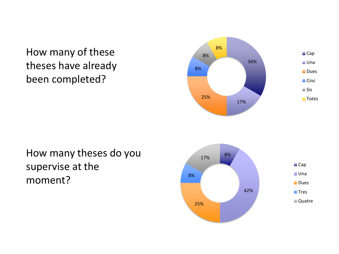How many of these theses have already been completed?



#### How many theses do you supervise at the moment?

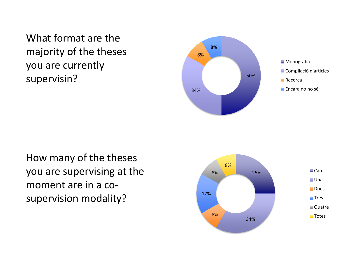What format are the majority of the theses you are currently supervisin?





How many of the theses you are supervising at the moment are in a cosupervision modality?

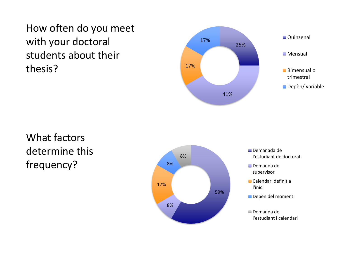How often do you meet with your doctoral students about their thesis?



What factors determine this frequency?

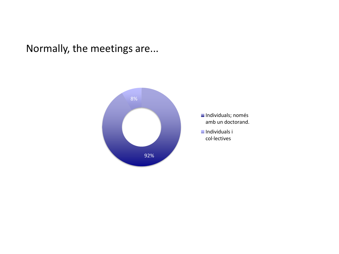Normally, the meetings are...

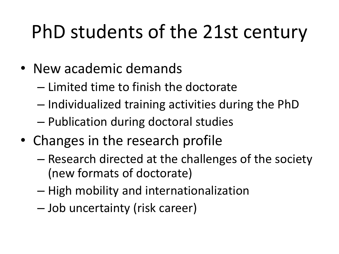## PhD students of the 21st century

- New academic demands
	- Limited time to finish the doctorate
	- Individualized training activities during the PhD
	- Publication during doctoral studies
- Changes in the research profile
	- Research directed at the challenges of the society (new formats of doctorate)
	- High mobility and internationalization
	- Job uncertainty (risk career)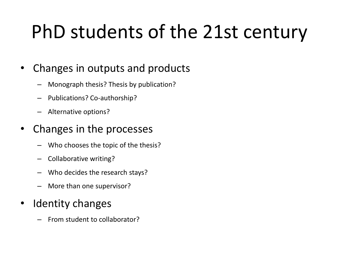# PhD students of the 21st century

#### • Changes in outputs and products

- Monograph thesis? Thesis by publication?
- Publications? Co-authorship?
- Alternative options?

#### • Changes in the processes

- Who chooses the topic of the thesis?
- Collaborative writing?
- Who decides the research stays?
- More than one supervisor?

#### Identity changes

– From student to collaborator?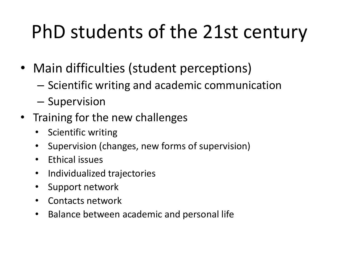# PhD students of the 21st century

- Main difficulties (student perceptions)
	- Scientific writing and academic communication
	- Supervision
- Training for the new challenges
	- Scientific writing
	- Supervision (changes, new forms of supervision)
	- Ethical issues
	- Individualized trajectories
	- Support network
	- Contacts network
	- Balance between academic and personal life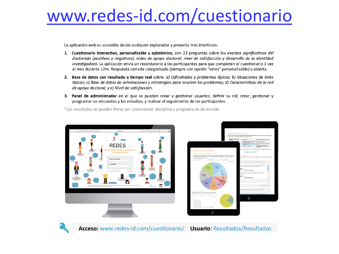### [www.redes-id.com/cuestionario](http://www.redes-id.com/cuestionario)

La aplicación web es accesible desde cualquier explorador y presenta tres interfaces:

- 1. Cuestionario interactivo, personalizable y epistémico, con 23 preguntas sobre los eventos sianificativos del doctorado (positivos y negativos), redes de apoyo doctoral, nivel de satisfacción y desarrollo de la identidad investigadora. La aplicación envía un recordatorio a los participantes para que completen el cuestionario 1 vez al mes durante 12m. Respuesta cerrada categorizada (siempre con opción "otros" personalizable) y abierta.
- 2. Base de datos con resultado a tiempo real sobre: a) Dificultades y problemas típicos; b) Situaciones de éxito típicas; c) Base de datos de orientaciones y estrategias para resolver los problemas; d) Características de la red de apovo doctoral; y e) Nivel de satisfacción.
- 3. Panel de administrador en el que se pueden crear y gestionar usuarios; definir su rol; crear, gestionar y programar las encuestas y los estudios; y realizar el seguimiento de los participantes.

\*Los resultados se pueden filtrar por universidad, disciplina y programa de doctorado.







Acceso: www.redes-id.com/cuestionario/ Usuario: Resultados/Resultados